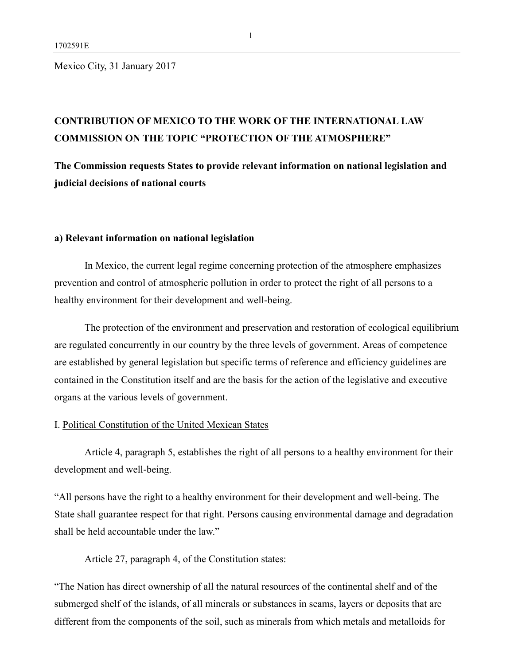Mexico City, 31 January 2017

## **CONTRIBUTION OF MEXICO TO THE WORK OF THE INTERNATIONAL LAW COMMISSION ON THE TOPIC "PROTECTION OF THE ATMOSPHERE"**

**The Commission requests States to provide relevant information on national legislation and judicial decisions of national courts**

### **a) Relevant information on national legislation**

In Mexico, the current legal regime concerning protection of the atmosphere emphasizes prevention and control of atmospheric pollution in order to protect the right of all persons to a healthy environment for their development and well-being.

The protection of the environment and preservation and restoration of ecological equilibrium are regulated concurrently in our country by the three levels of government. Areas of competence are established by general legislation but specific terms of reference and efficiency guidelines are contained in the Constitution itself and are the basis for the action of the legislative and executive organs at the various levels of government.

### I. Political Constitution of the United Mexican States

Article 4, paragraph 5, establishes the right of all persons to a healthy environment for their development and well-being.

"All persons have the right to a healthy environment for their development and well-being. The State shall guarantee respect for that right. Persons causing environmental damage and degradation shall be held accountable under the law."

Article 27, paragraph 4, of the Constitution states:

"The Nation has direct ownership of all the natural resources of the continental shelf and of the submerged shelf of the islands, of all minerals or substances in seams, layers or deposits that are different from the components of the soil, such as minerals from which metals and metalloids for

1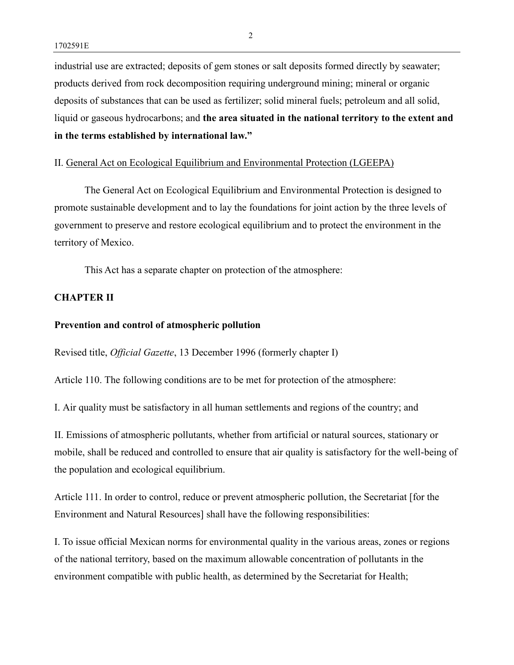industrial use are extracted; deposits of gem stones or salt deposits formed directly by seawater; products derived from rock decomposition requiring underground mining; mineral or organic deposits of substances that can be used as fertilizer; solid mineral fuels; petroleum and all solid, liquid or gaseous hydrocarbons; and **the area situated in the national territory to the extent and in the terms established by international law."**

### II. General Act on Ecological Equilibrium and Environmental Protection (LGEEPA)

The General Act on Ecological Equilibrium and Environmental Protection is designed to promote sustainable development and to lay the foundations for joint action by the three levels of government to preserve and restore ecological equilibrium and to protect the environment in the territory of Mexico.

This Act has a separate chapter on protection of the atmosphere:

### **CHAPTER II**

#### **Prevention and control of atmospheric pollution**

Revised title, *Official Gazette*, 13 December 1996 (formerly chapter I)

Article 110. The following conditions are to be met for protection of the atmosphere:

I. Air quality must be satisfactory in all human settlements and regions of the country; and

II. Emissions of atmospheric pollutants, whether from artificial or natural sources, stationary or mobile, shall be reduced and controlled to ensure that air quality is satisfactory for the well-being of the population and ecological equilibrium.

Article 111. In order to control, reduce or prevent atmospheric pollution, the Secretariat [for the Environment and Natural Resources] shall have the following responsibilities:

I. To issue official Mexican norms for environmental quality in the various areas, zones or regions of the national territory, based on the maximum allowable concentration of pollutants in the environment compatible with public health, as determined by the Secretariat for Health;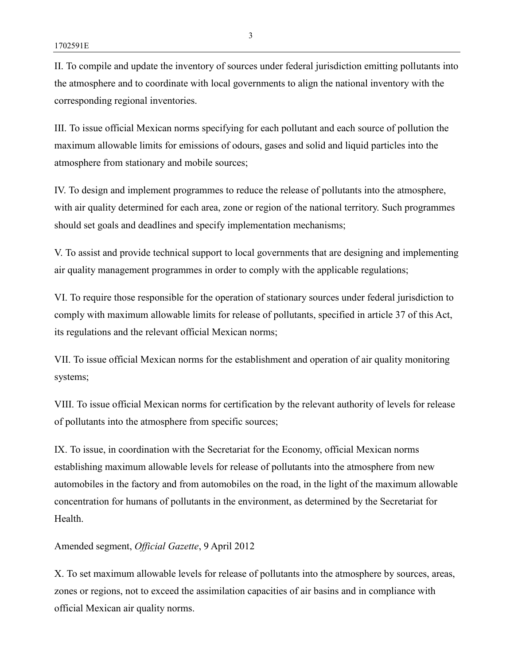II. To compile and update the inventory of sources under federal jurisdiction emitting pollutants into the atmosphere and to coordinate with local governments to align the national inventory with the corresponding regional inventories.

III. To issue official Mexican norms specifying for each pollutant and each source of pollution the maximum allowable limits for emissions of odours, gases and solid and liquid particles into the atmosphere from stationary and mobile sources;

IV. To design and implement programmes to reduce the release of pollutants into the atmosphere, with air quality determined for each area, zone or region of the national territory. Such programmes should set goals and deadlines and specify implementation mechanisms;

V. To assist and provide technical support to local governments that are designing and implementing air quality management programmes in order to comply with the applicable regulations;

VI. To require those responsible for the operation of stationary sources under federal jurisdiction to comply with maximum allowable limits for release of pollutants, specified in article 37 of this Act, its regulations and the relevant official Mexican norms;

VII. To issue official Mexican norms for the establishment and operation of air quality monitoring systems;

VIII. To issue official Mexican norms for certification by the relevant authority of levels for release of pollutants into the atmosphere from specific sources;

IX. To issue, in coordination with the Secretariat for the Economy, official Mexican norms establishing maximum allowable levels for release of pollutants into the atmosphere from new automobiles in the factory and from automobiles on the road, in the light of the maximum allowable concentration for humans of pollutants in the environment, as determined by the Secretariat for **Health** 

### Amended segment, *Official Gazette*, 9 April 2012

X. To set maximum allowable levels for release of pollutants into the atmosphere by sources, areas, zones or regions, not to exceed the assimilation capacities of air basins and in compliance with official Mexican air quality norms.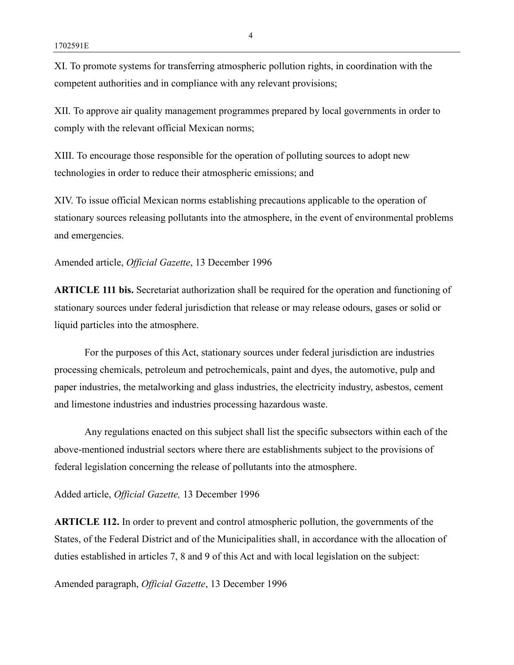XI. To promote systems for transferring atmospheric pollution rights, in coordination with the competent authorities and in compliance with any relevant provisions;

XII. To approve air quality management programmes prepared by local governments in order to comply with the relevant official Mexican norms;

XIII. To encourage those responsible for the operation of polluting sources to adopt new technologies in order to reduce their atmospheric emissions; and

XIV. To issue official Mexican norms establishing precautions applicable to the operation of stationary sources releasing pollutants into the atmosphere, in the event of environmental problems and emergencies.

Amended article, *Official Gazette*, 13 December 1996

**ARTICLE 111 bis.** Secretariat authorization shall be required for the operation and functioning of stationary sources under federal jurisdiction that release or may release odours, gases or solid or liquid particles into the atmosphere.

For the purposes of this Act, stationary sources under federal jurisdiction are industries processing chemicals, petroleum and petrochemicals, paint and dyes, the automotive, pulp and paper industries, the metalworking and glass industries, the electricity industry, asbestos, cement and limestone industries and industries processing hazardous waste.

Any regulations enacted on this subject shall list the specific subsectors within each of the above-mentioned industrial sectors where there are establishments subject to the provisions of federal legislation concerning the release of pollutants into the atmosphere.

Added article, *Official Gazette,* 13 December 1996

**ARTICLE 112.** In order to prevent and control atmospheric pollution, the governments of the States, of the Federal District and of the Municipalities shall, in accordance with the allocation of duties established in articles 7, 8 and 9 of this Act and with local legislation on the subject:

Amended paragraph, *Official Gazette*, 13 December 1996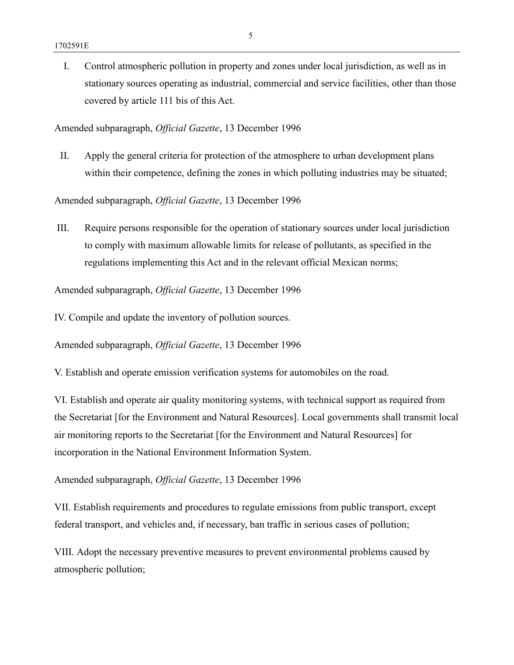I. Control atmospheric pollution in property and zones under local jurisdiction, as well as in stationary sources operating as industrial, commercial and service facilities, other than those covered by article 111 bis of this Act.

Amended subparagraph, *Official Gazette*, 13 December 1996

II. Apply the general criteria for protection of the atmosphere to urban development plans within their competence, defining the zones in which polluting industries may be situated;

Amended subparagraph, *Official Gazette*, 13 December 1996

III. Require persons responsible for the operation of stationary sources under local jurisdiction to comply with maximum allowable limits for release of pollutants, as specified in the regulations implementing this Act and in the relevant official Mexican norms;

Amended subparagraph, *Official Gazette*, 13 December 1996

IV. Compile and update the inventory of pollution sources.

Amended subparagraph, *Official Gazette*, 13 December 1996

V. Establish and operate emission verification systems for automobiles on the road.

VI. Establish and operate air quality monitoring systems, with technical support as required from the Secretariat [for the Environment and Natural Resources]. Local governments shall transmit local air monitoring reports to the Secretariat [for the Environment and Natural Resources] for incorporation in the National Environment Information System.

Amended subparagraph, *Official Gazette*, 13 December 1996

VII. Establish requirements and procedures to regulate emissions from public transport, except federal transport, and vehicles and, if necessary, ban traffic in serious cases of pollution;

VIII. Adopt the necessary preventive measures to prevent environmental problems caused by atmospheric pollution;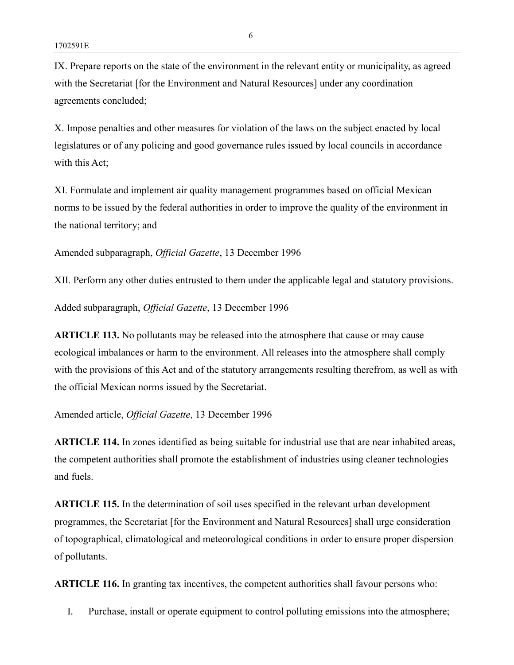IX. Prepare reports on the state of the environment in the relevant entity or municipality, as agreed with the Secretariat [for the Environment and Natural Resources] under any coordination agreements concluded;

X. Impose penalties and other measures for violation of the laws on the subject enacted by local legislatures or of any policing and good governance rules issued by local councils in accordance with this Act;

XI. Formulate and implement air quality management programmes based on official Mexican norms to be issued by the federal authorities in order to improve the quality of the environment in the national territory; and

Amended subparagraph, *Official Gazette*, 13 December 1996

XII. Perform any other duties entrusted to them under the applicable legal and statutory provisions.

Added subparagraph, *Official Gazette*, 13 December 1996

**ARTICLE 113.** No pollutants may be released into the atmosphere that cause or may cause ecological imbalances or harm to the environment. All releases into the atmosphere shall comply with the provisions of this Act and of the statutory arrangements resulting therefrom, as well as with the official Mexican norms issued by the Secretariat.

Amended article, *Official Gazette*, 13 December 1996

**ARTICLE 114.** In zones identified as being suitable for industrial use that are near inhabited areas, the competent authorities shall promote the establishment of industries using cleaner technologies and fuels.

**ARTICLE 115.** In the determination of soil uses specified in the relevant urban development programmes, the Secretariat [for the Environment and Natural Resources] shall urge consideration of topographical, climatological and meteorological conditions in order to ensure proper dispersion of pollutants.

**ARTICLE 116.** In granting tax incentives, the competent authorities shall favour persons who:

I. Purchase, install or operate equipment to control polluting emissions into the atmosphere;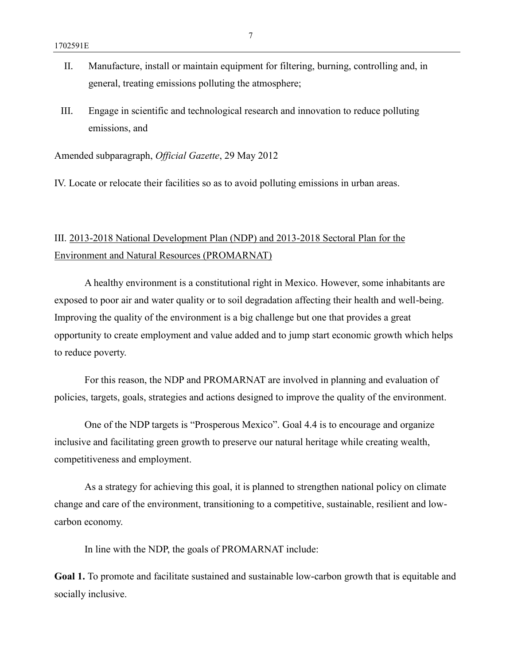- II. Manufacture, install or maintain equipment for filtering, burning, controlling and, in general, treating emissions polluting the atmosphere;
- III. Engage in scientific and technological research and innovation to reduce polluting emissions, and

Amended subparagraph, *Official Gazette*, 29 May 2012

IV. Locate or relocate their facilities so as to avoid polluting emissions in urban areas.

## III. 2013-2018 National Development Plan (NDP) and 2013-2018 Sectoral Plan for the Environment and Natural Resources (PROMARNAT)

A healthy environment is a constitutional right in Mexico. However, some inhabitants are exposed to poor air and water quality or to soil degradation affecting their health and well-being. Improving the quality of the environment is a big challenge but one that provides a great opportunity to create employment and value added and to jump start economic growth which helps to reduce poverty.

For this reason, the NDP and PROMARNAT are involved in planning and evaluation of policies, targets, goals, strategies and actions designed to improve the quality of the environment.

One of the NDP targets is "Prosperous Mexico". Goal 4.4 is to encourage and organize inclusive and facilitating green growth to preserve our natural heritage while creating wealth, competitiveness and employment.

As a strategy for achieving this goal, it is planned to strengthen national policy on climate change and care of the environment, transitioning to a competitive, sustainable, resilient and lowcarbon economy.

In line with the NDP, the goals of PROMARNAT include:

**Goal 1.** To promote and facilitate sustained and sustainable low-carbon growth that is equitable and socially inclusive.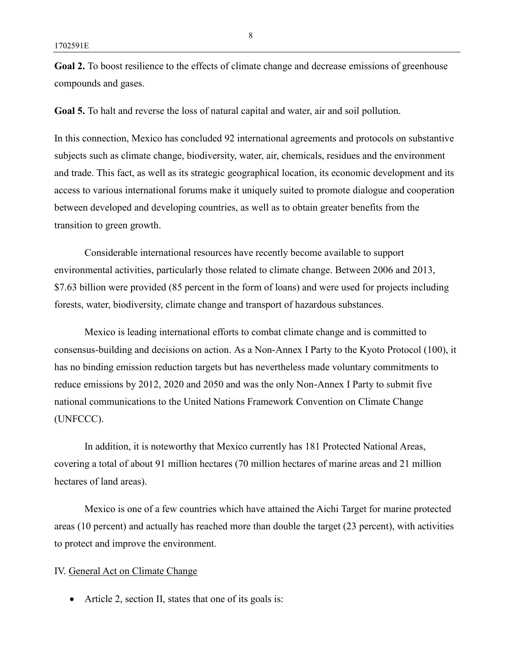**Goal 2.** To boost resilience to the effects of climate change and decrease emissions of greenhouse compounds and gases.

**Goal 5.** To halt and reverse the loss of natural capital and water, air and soil pollution.

In this connection, Mexico has concluded 92 international agreements and protocols on substantive subjects such as climate change, biodiversity, water, air, chemicals, residues and the environment and trade. This fact, as well as its strategic geographical location, its economic development and its access to various international forums make it uniquely suited to promote dialogue and cooperation between developed and developing countries, as well as to obtain greater benefits from the transition to green growth.

Considerable international resources have recently become available to support environmental activities, particularly those related to climate change. Between 2006 and 2013, \$7.63 billion were provided (85 percent in the form of loans) and were used for projects including forests, water, biodiversity, climate change and transport of hazardous substances.

Mexico is leading international efforts to combat climate change and is committed to consensus-building and decisions on action. As a Non-Annex I Party to the Kyoto Protocol (100), it has no binding emission reduction targets but has nevertheless made voluntary commitments to reduce emissions by 2012, 2020 and 2050 and was the only Non-Annex I Party to submit five national communications to the United Nations Framework Convention on Climate Change (UNFCCC).

In addition, it is noteworthy that Mexico currently has 181 Protected National Areas, covering a total of about 91 million hectares (70 million hectares of marine areas and 21 million hectares of land areas).

Mexico is one of a few countries which have attained the Aichi Target for marine protected areas (10 percent) and actually has reached more than double the target (23 percent), with activities to protect and improve the environment.

#### IV. General Act on Climate Change

• Article 2, section II, states that one of its goals is: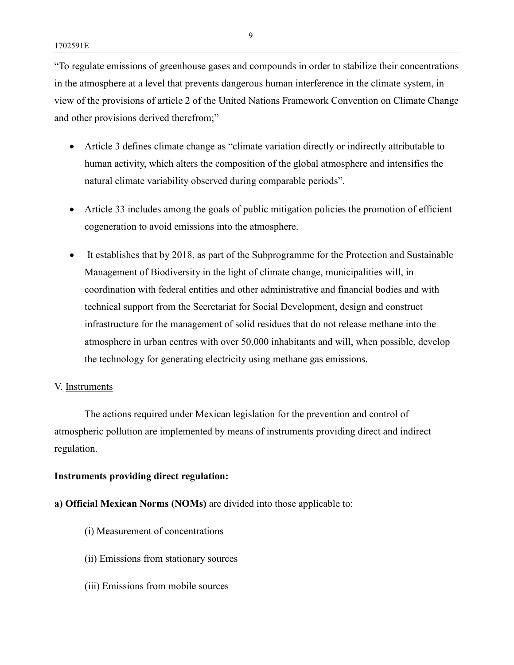"To regulate emissions of greenhouse gases and compounds in order to stabilize their concentrations in the atmosphere at a level that prevents dangerous human interference in the climate system, in view of the provisions of article 2 of the United Nations Framework Convention on Climate Change and other provisions derived therefrom;"

- Article 3 defines climate change as "climate variation directly or indirectly attributable to human activity, which alters the composition of the global atmosphere and intensifies the natural climate variability observed during comparable periods".
- Article 33 includes among the goals of public mitigation policies the promotion of efficient cogeneration to avoid emissions into the atmosphere.
- It establishes that by 2018, as part of the Subprogramme for the Protection and Sustainable Management of Biodiversity in the light of climate change, municipalities will, in coordination with federal entities and other administrative and financial bodies and with technical support from the Secretariat for Social Development, design and construct infrastructure for the management of solid residues that do not release methane into the atmosphere in urban centres with over 50,000 inhabitants and will, when possible, develop the technology for generating electricity using methane gas emissions.

### V. Instruments

The actions required under Mexican legislation for the prevention and control of atmospheric pollution are implemented by means of instruments providing direct and indirect regulation.

### **Instruments providing direct regulation:**

### **a) Official Mexican Norms (NOMs)** are divided into those applicable to:

- (i) Measurement of concentrations
- (ii) Emissions from stationary sources
- (iii) Emissions from mobile sources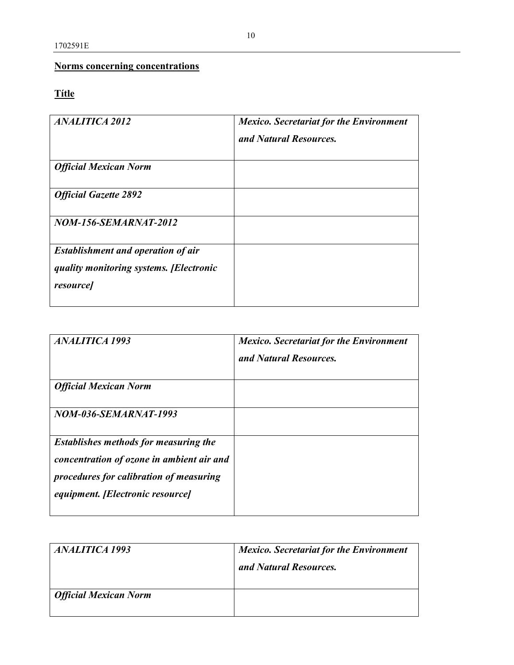### **Norms concerning concentrations**

## **Títle**

| <b>ANALITICA 2012</b>                                                                                   | <b>Mexico.</b> Secretariat for the Environment<br>and Natural Resources. |
|---------------------------------------------------------------------------------------------------------|--------------------------------------------------------------------------|
| <b>Official Mexican Norm</b>                                                                            |                                                                          |
| <b>Official Gazette 2892</b>                                                                            |                                                                          |
| <b>NOM-156-SEMARNAT-2012</b>                                                                            |                                                                          |
| <b>Establishment and operation of air</b><br>quality monitoring systems. [Electronic<br><i>resource</i> |                                                                          |

| <b>ANALITICA 1993</b>                                                                                                                                                    | <b>Mexico.</b> Secretariat for the Environment<br>and Natural Resources. |
|--------------------------------------------------------------------------------------------------------------------------------------------------------------------------|--------------------------------------------------------------------------|
| <b>Official Mexican Norm</b>                                                                                                                                             |                                                                          |
| NOM-036-SEMARNAT-1993                                                                                                                                                    |                                                                          |
| <b>Establishes methods for measuring the</b><br>concentration of ozone in ambient air and<br>procedures for calibration of measuring<br>equipment. [Electronic resource] |                                                                          |

| <i>ANALITICA 1993</i>        | <b>Mexico.</b> Secretariat for the Environment<br>and Natural Resources. |
|------------------------------|--------------------------------------------------------------------------|
| <b>Official Mexican Norm</b> |                                                                          |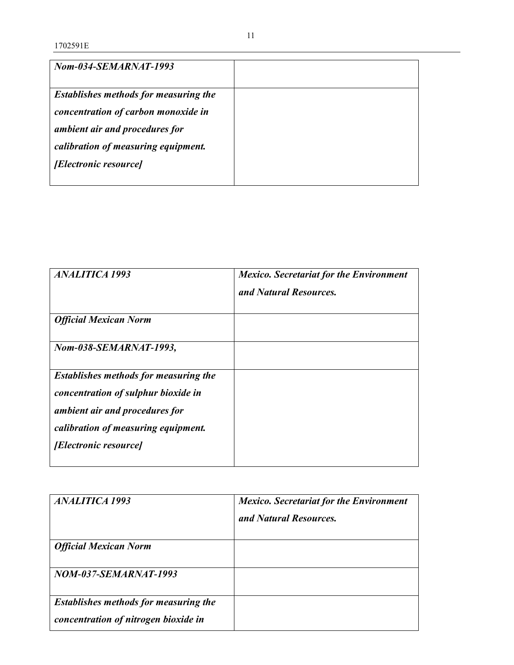| Nom-034-SEMARNAT-1993                        |  |
|----------------------------------------------|--|
|                                              |  |
| <b>Establishes methods for measuring the</b> |  |
| concentration of carbon monoxide in          |  |
|                                              |  |
| ambient air and procedures for               |  |
| calibration of measuring equipment.          |  |
| <i>[Electronic resource]</i>                 |  |
|                                              |  |
|                                              |  |

| <b>ANALITICA 1993</b>                                                                                                                                                                        | <b>Mexico.</b> Secretariat for the Environment<br>and Natural Resources. |
|----------------------------------------------------------------------------------------------------------------------------------------------------------------------------------------------|--------------------------------------------------------------------------|
| <b>Official Mexican Norm</b>                                                                                                                                                                 |                                                                          |
| Nom-038-SEMARNAT-1993,                                                                                                                                                                       |                                                                          |
| <b>Establishes methods for measuring the</b><br>concentration of sulphur bioxide in<br>ambient air and procedures for<br>calibration of measuring equipment.<br><i>[Electronic resource]</i> |                                                                          |

| <b>ANALITICA 1993</b>                 | <b>Mexico.</b> Secretariat for the Environment<br>and Natural Resources. |
|---------------------------------------|--------------------------------------------------------------------------|
|                                       |                                                                          |
| <b>Official Mexican Norm</b>          |                                                                          |
| NOM-037-SEMARNAT-1993                 |                                                                          |
| Establishes methods for measuring the |                                                                          |
| concentration of nitrogen bioxide in  |                                                                          |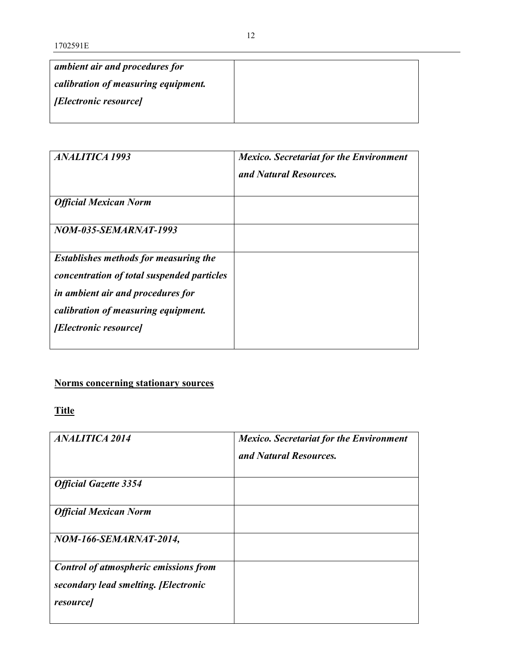| ambient air and procedures for      |  |
|-------------------------------------|--|
| calibration of measuring equipment. |  |
| <i>[Electronic resource]</i>        |  |
|                                     |  |

| <i><b>ANALITICA 1993</b></i>                                                                                                                                           | <b>Mexico.</b> Secretariat for the Environment<br>and Natural Resources. |
|------------------------------------------------------------------------------------------------------------------------------------------------------------------------|--------------------------------------------------------------------------|
| <b>Official Mexican Norm</b>                                                                                                                                           |                                                                          |
| NOM-035-SEMARNAT-1993                                                                                                                                                  |                                                                          |
| <b>Establishes methods for measuring the</b><br>concentration of total suspended particles<br>in ambient air and procedures for<br>calibration of measuring equipment. |                                                                          |
| <i>[Electronic resource]</i>                                                                                                                                           |                                                                          |

## **Norms concerning stationary sources**

**Title**

| <b>ANALITICA 2014</b>                                                                                   | <b>Mexico.</b> Secretariat for the Environment<br>and Natural Resources. |
|---------------------------------------------------------------------------------------------------------|--------------------------------------------------------------------------|
| <b>Official Gazette 3354</b>                                                                            |                                                                          |
| <b>Official Mexican Norm</b>                                                                            |                                                                          |
| <b>NOM-166-SEMARNAT-2014,</b>                                                                           |                                                                          |
| <b>Control of atmospheric emissions from</b><br>secondary lead smelting. [Electronic<br><i>resource</i> |                                                                          |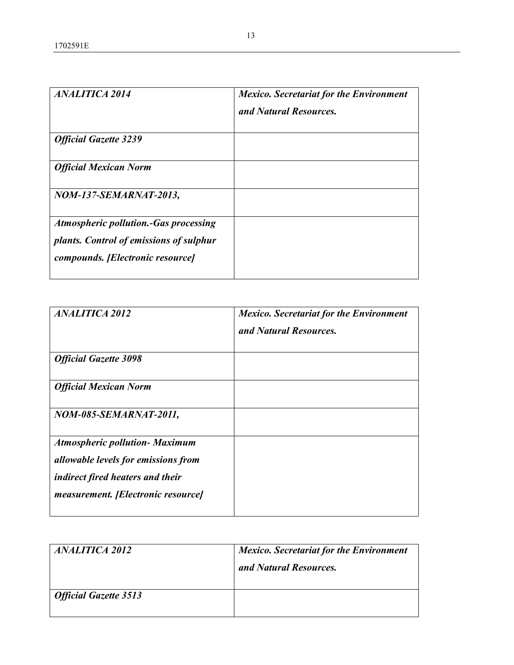| <b>ANALITICA 2014</b>                                                                                                       | <b>Mexico.</b> Secretariat for the Environment<br>and Natural Resources. |
|-----------------------------------------------------------------------------------------------------------------------------|--------------------------------------------------------------------------|
| <b>Official Gazette 3239</b>                                                                                                |                                                                          |
| <b>Official Mexican Norm</b>                                                                                                |                                                                          |
| NOM-137-SEMARNAT-2013,                                                                                                      |                                                                          |
| <b>Atmospheric pollution.-Gas processing</b><br>plants. Control of emissions of sulphur<br>compounds. [Electronic resource] |                                                                          |

| <b>ANALITICA 2012</b>                   | <b>Mexico.</b> Secretariat for the Environment<br>and Natural Resources. |
|-----------------------------------------|--------------------------------------------------------------------------|
| <b>Official Gazette 3098</b>            |                                                                          |
| <b>Official Mexican Norm</b>            |                                                                          |
| NOM-085-SEMARNAT-2011,                  |                                                                          |
| <b>Atmospheric pollution- Maximum</b>   |                                                                          |
| allowable levels for emissions from     |                                                                          |
| <i>indirect fired heaters and their</i> |                                                                          |
| measurement. [Electronic resource]      |                                                                          |

| <i><b>ANALITICA 2012</b></i> | <b>Mexico.</b> Secretariat for the Environment<br>and Natural Resources. |
|------------------------------|--------------------------------------------------------------------------|
| <b>Official Gazette 3513</b> |                                                                          |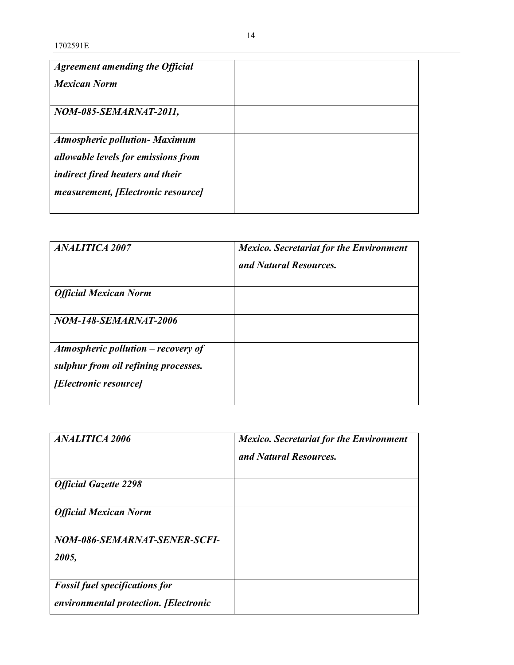| ANALITICA 2007                                                                                                | <b>Mexico.</b> Secretariat for the Environment<br>and Natural Resources. |
|---------------------------------------------------------------------------------------------------------------|--------------------------------------------------------------------------|
| <b>Official Mexican Norm</b>                                                                                  |                                                                          |
| <i>NOM-148-SEMARNAT-2006</i>                                                                                  |                                                                          |
| Atmospheric pollution $-$ recovery of<br>sulphur from oil refining processes.<br><i>[Electronic resource]</i> |                                                                          |

| <b>ANALITICA 2006</b>                                                          | <b>Mexico.</b> Secretariat for the Environment<br>and Natural Resources. |
|--------------------------------------------------------------------------------|--------------------------------------------------------------------------|
| <b>Official Gazette 2298</b>                                                   |                                                                          |
| <b>Official Mexican Norm</b>                                                   |                                                                          |
| NOM-086-SEMARNAT-SENER-SCFI-<br>2005,                                          |                                                                          |
| <b>Fossil fuel specifications for</b><br>environmental protection. [Electronic |                                                                          |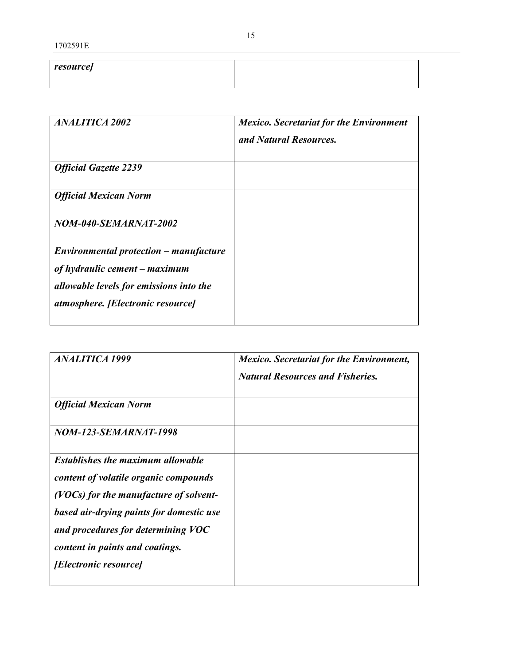| <i>resource]</i> |  |
|------------------|--|
|                  |  |

| <i><b>ANALITICA 2002</b></i>            | <b>Mexico.</b> Secretariat for the Environment<br>and Natural Resources. |
|-----------------------------------------|--------------------------------------------------------------------------|
| <b>Official Gazette 2239</b>            |                                                                          |
| <b>Official Mexican Norm</b>            |                                                                          |
| NOM-040-SEMARNAT-2002                   |                                                                          |
| Environmental protection – manufacture  |                                                                          |
| of hydraulic cement – maximum           |                                                                          |
| allowable levels for emissions into the |                                                                          |
| atmosphere. [Electronic resource]       |                                                                          |

| <b>ANALITICA 1999</b>                    | <b>Mexico.</b> Secretariat for the Environment, |
|------------------------------------------|-------------------------------------------------|
|                                          | <b>Natural Resources and Fisheries.</b>         |
|                                          |                                                 |
| <b>Official Mexican Norm</b>             |                                                 |
| <b>NOM-123-SEMARNAT-1998</b>             |                                                 |
| <b>Establishes the maximum allowable</b> |                                                 |
| content of volatile organic compounds    |                                                 |
| (VOCs) for the manufacture of solvent-   |                                                 |
| based air-drying paints for domestic use |                                                 |
| and procedures for determining VOC       |                                                 |
| content in paints and coatings.          |                                                 |
| <i>[Electronic resource]</i>             |                                                 |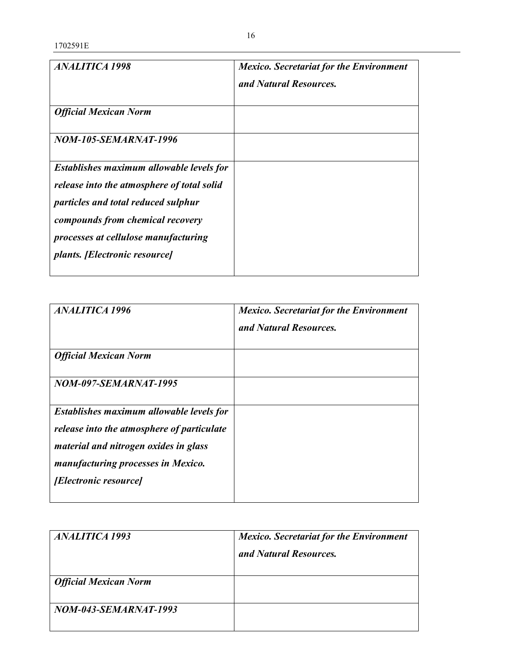| <b>ANALITICA 1998</b>                                                                                                                                                                                                                             | <b>Mexico.</b> Secretariat for the Environment<br>and Natural Resources. |
|---------------------------------------------------------------------------------------------------------------------------------------------------------------------------------------------------------------------------------------------------|--------------------------------------------------------------------------|
| <b>Official Mexican Norm</b>                                                                                                                                                                                                                      |                                                                          |
| <i>NOM-105-SEMARNAT-1996</i>                                                                                                                                                                                                                      |                                                                          |
| Establishes maximum allowable levels for<br>release into the atmosphere of total solid<br>particles and total reduced sulphur<br>compounds from chemical recovery<br>processes at cellulose manufacturing<br><i>plants. [Electronic resource]</i> |                                                                          |

| <b>ANALITICA 1996</b>                                                                                                                                                                                 | <b>Mexico.</b> Secretariat for the Environment<br>and Natural Resources. |
|-------------------------------------------------------------------------------------------------------------------------------------------------------------------------------------------------------|--------------------------------------------------------------------------|
| <b>Official Mexican Norm</b>                                                                                                                                                                          |                                                                          |
| NOM-097-SEMARNAT-1995                                                                                                                                                                                 |                                                                          |
| Establishes maximum allowable levels for<br>release into the atmosphere of particulate<br>material and nitrogen oxides in glass<br>manufacturing processes in Mexico.<br><i>[Electronic resource]</i> |                                                                          |

| <i><b>ANALITICA 1993</b></i> | <b>Mexico.</b> Secretariat for the Environment<br>and Natural Resources. |
|------------------------------|--------------------------------------------------------------------------|
| <b>Official Mexican Norm</b> |                                                                          |
| NOM-043-SEMARNAT-1993        |                                                                          |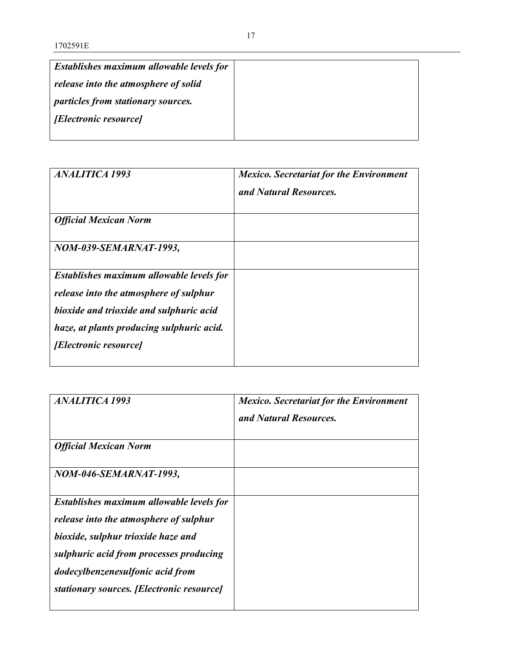| Establishes maximum allowable levels for  |
|-------------------------------------------|
| release into the atmosphere of solid      |
| <i>particles from stationary sources.</i> |
| <i>[Electronic resource]</i>              |
|                                           |

| ANALITICA 1993                                                                                                                                                                                      | <b>Mexico.</b> Secretariat for the Environment<br>and Natural Resources. |
|-----------------------------------------------------------------------------------------------------------------------------------------------------------------------------------------------------|--------------------------------------------------------------------------|
| <b>Official Mexican Norm</b>                                                                                                                                                                        |                                                                          |
| NOM-039-SEMARNAT-1993,                                                                                                                                                                              |                                                                          |
| Establishes maximum allowable levels for<br>release into the atmosphere of sulphur<br>bioxide and trioxide and sulphuric acid<br>haze, at plants producing sulphuric acid.<br>[Electronic resource] |                                                                          |

| <i><b>ANALITICA 1993</b></i>                                                                                                                                                                                                                                | <b>Mexico.</b> Secretariat for the Environment<br>and Natural Resources. |
|-------------------------------------------------------------------------------------------------------------------------------------------------------------------------------------------------------------------------------------------------------------|--------------------------------------------------------------------------|
| <b>Official Mexican Norm</b>                                                                                                                                                                                                                                |                                                                          |
| NOM-046-SEMARNAT-1993,                                                                                                                                                                                                                                      |                                                                          |
| <b>Establishes maximum allowable levels for</b><br>release into the atmosphere of sulphur<br>bioxide, sulphur trioxide haze and<br>sulphuric acid from processes producing<br>dodecylbenzenesulfonic acid from<br>stationary sources. [Electronic resource] |                                                                          |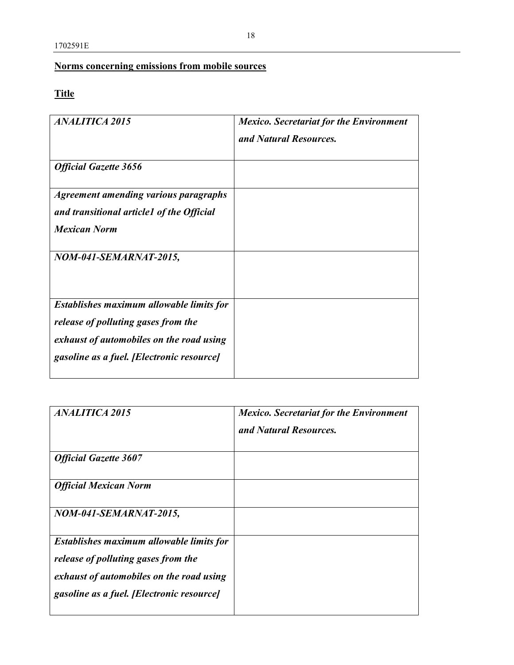### **Norms concerning emissions from mobile sources**

## **Title**

| <b>ANALITICA 2015</b>                           | <b>Mexico.</b> Secretariat for the Environment<br>and Natural Resources. |
|-------------------------------------------------|--------------------------------------------------------------------------|
|                                                 |                                                                          |
| <b>Official Gazette 3656</b>                    |                                                                          |
| <b>Agreement amending various paragraphs</b>    |                                                                          |
| and transitional article1 of the Official       |                                                                          |
| <b>Mexican Norm</b>                             |                                                                          |
| NOM-041-SEMARNAT-2015,                          |                                                                          |
| <b>Establishes maximum allowable limits for</b> |                                                                          |
| release of polluting gases from the             |                                                                          |
| exhaust of automobiles on the road using        |                                                                          |
| gasoline as a fuel. [Electronic resource]       |                                                                          |

| <b>ANALITICA 2015</b>                     | <b>Mexico.</b> Secretariat for the Environment<br>and Natural Resources. |
|-------------------------------------------|--------------------------------------------------------------------------|
| <b>Official Gazette 3607</b>              |                                                                          |
| <b>Official Mexican Norm</b>              |                                                                          |
| NOM-041-SEMARNAT-2015,                    |                                                                          |
| Establishes maximum allowable limits for  |                                                                          |
| release of polluting gases from the       |                                                                          |
| exhaust of automobiles on the road using  |                                                                          |
| gasoline as a fuel. [Electronic resource] |                                                                          |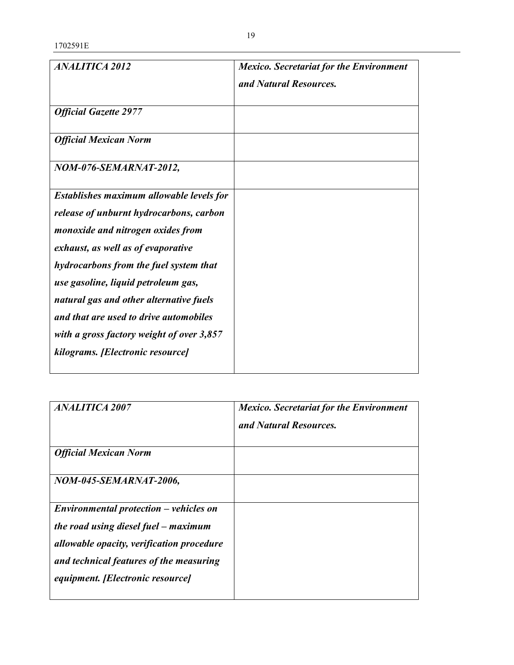1702591E

| <b>ANALITICA 2012</b>                     | <b>Mexico. Secretariat for the Environment</b> |
|-------------------------------------------|------------------------------------------------|
|                                           | and Natural Resources.                         |
|                                           |                                                |
| <b>Official Gazette 2977</b>              |                                                |
|                                           |                                                |
| <b>Official Mexican Norm</b>              |                                                |
| NOM-076-SEMARNAT-2012,                    |                                                |
|                                           |                                                |
| Establishes maximum allowable levels for  |                                                |
| release of unburnt hydrocarbons, carbon   |                                                |
| monoxide and nitrogen oxides from         |                                                |
| exhaust, as well as of evaporative        |                                                |
| hydrocarbons from the fuel system that    |                                                |
| use gasoline, liquid petroleum gas,       |                                                |
| natural gas and other alternative fuels   |                                                |
| and that are used to drive automobiles    |                                                |
| with a gross factory weight of over 3,857 |                                                |
| kilograms. [Electronic resource]          |                                                |
|                                           |                                                |

| <b>ANALITICA 2007</b>                     | <b>Mexico.</b> Secretariat for the Environment<br>and Natural Resources. |
|-------------------------------------------|--------------------------------------------------------------------------|
| <b>Official Mexican Norm</b>              |                                                                          |
| NOM-045-SEMARNAT-2006,                    |                                                                          |
| $Environmental protection - vehicles on$  |                                                                          |
| the road using diesel fuel – maximum      |                                                                          |
| allowable opacity, verification procedure |                                                                          |
| and technical features of the measuring   |                                                                          |
| equipment. [Electronic resource]          |                                                                          |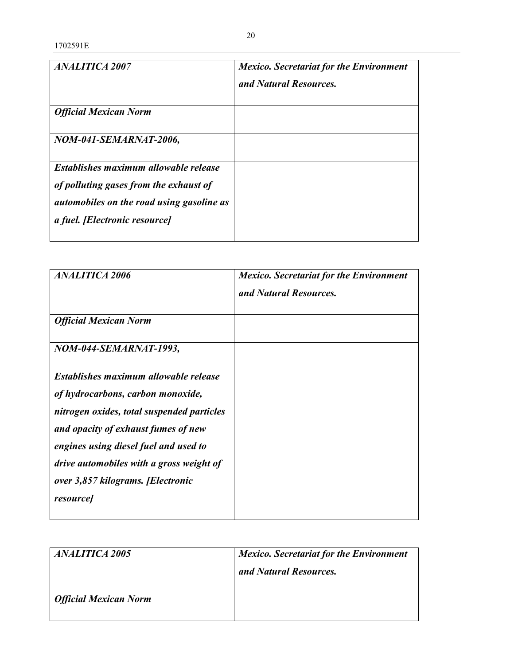| ANALITICA 2007                                                                                                                                                       | <b>Mexico.</b> Secretariat for the Environment<br>and Natural Resources. |
|----------------------------------------------------------------------------------------------------------------------------------------------------------------------|--------------------------------------------------------------------------|
| <b>Official Mexican Norm</b>                                                                                                                                         |                                                                          |
| NOM-041-SEMARNAT-2006,                                                                                                                                               |                                                                          |
| Establishes maximum allowable release<br>of polluting gases from the exhaust of<br><i>automobiles on the road using gasoline as</i><br>a fuel. [Electronic resource] |                                                                          |

| <b>ANALITICA 2006</b>                                                                                                                                                                                                                                                                                        | <b>Mexico.</b> Secretariat for the Environment<br>and Natural Resources. |
|--------------------------------------------------------------------------------------------------------------------------------------------------------------------------------------------------------------------------------------------------------------------------------------------------------------|--------------------------------------------------------------------------|
| <b>Official Mexican Norm</b>                                                                                                                                                                                                                                                                                 |                                                                          |
| NOM-044-SEMARNAT-1993,                                                                                                                                                                                                                                                                                       |                                                                          |
| Establishes maximum allowable release<br>of hydrocarbons, carbon monoxide,<br>nitrogen oxides, total suspended particles<br>and opacity of exhaust fumes of new<br>engines using diesel fuel and used to<br>drive automobiles with a gross weight of<br>over 3,857 kilograms. [Electronic<br><i>resource</i> |                                                                          |

| <i>ANALITICA 2005</i>        | <b>Mexico.</b> Secretariat for the Environment |
|------------------------------|------------------------------------------------|
|                              | and Natural Resources.                         |
| <b>Official Mexican Norm</b> |                                                |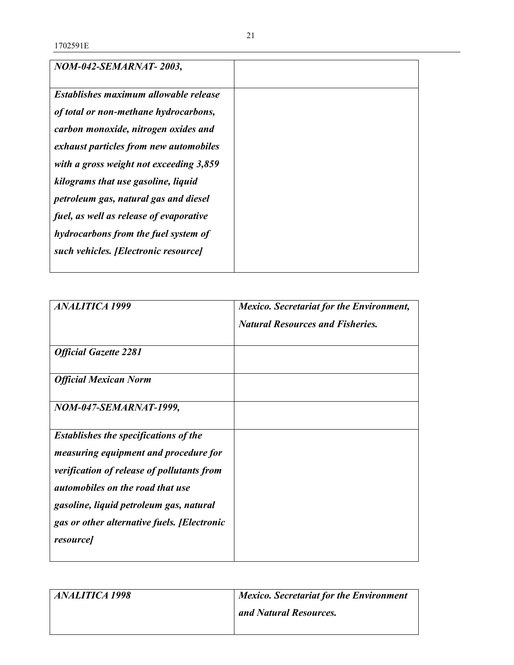| NOM-042-SEMARNAT-2003,                  |  |
|-----------------------------------------|--|
| Establishes maximum allowable release   |  |
| of total or non-methane hydrocarbons,   |  |
| carbon monoxide, nitrogen oxides and    |  |
| exhaust particles from new automobiles  |  |
| with a gross weight not exceeding 3,859 |  |
| kilograms that use gasoline, liquid     |  |
| petroleum gas, natural gas and diesel   |  |
| fuel, as well as release of evaporative |  |
| hydrocarbons from the fuel system of    |  |
| such vehicles. [Electronic resource]    |  |
|                                         |  |

| <b>ANALITICA 1999</b>                        | <b>Mexico. Secretariat for the Environment,</b> |
|----------------------------------------------|-------------------------------------------------|
|                                              | <b>Natural Resources and Fisheries.</b>         |
| <b>Official Gazette 2281</b>                 |                                                 |
| <b>Official Mexican Norm</b>                 |                                                 |
| NOM-047-SEMARNAT-1999,                       |                                                 |
| <b>Establishes the specifications of the</b> |                                                 |
| <i>measuring equipment and procedure for</i> |                                                 |
| verification of release of pollutants from   |                                                 |
| <i>automobiles on the road that use</i>      |                                                 |
| gasoline, liquid petroleum gas, natural      |                                                 |
| gas or other alternative fuels. [Electronic  |                                                 |
| <i>resource</i>                              |                                                 |

| <i>ANALITICA 1998</i> | <b>Mexico. Secretariat for the Environment</b> |
|-----------------------|------------------------------------------------|
|                       | and Natural Resources.                         |
|                       |                                                |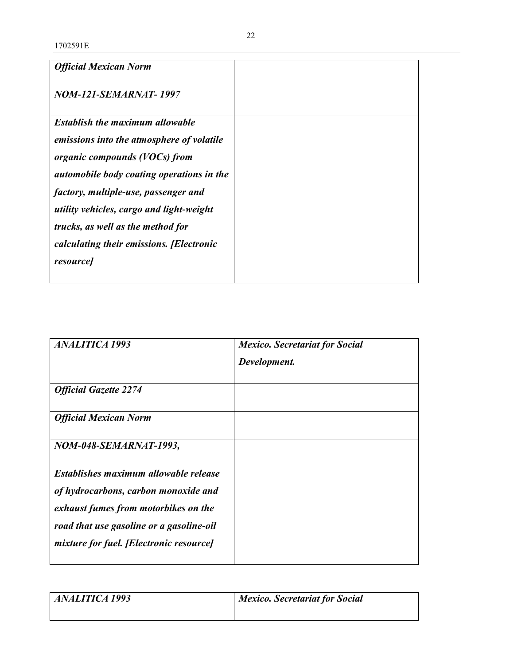| <b>Official Mexican Norm</b>                     |  |
|--------------------------------------------------|--|
| <b>NOM-121-SEMARNAT-1997</b>                     |  |
| <b>Establish the maximum allowable</b>           |  |
| emissions into the atmosphere of volatile        |  |
| organic compounds (VOCs) from                    |  |
| <i>automobile body coating operations in the</i> |  |
| factory, multiple-use, passenger and             |  |
| utility vehicles, cargo and light-weight         |  |
| trucks, as well as the method for                |  |
| calculating their emissions. [Electronic         |  |
| <i>resource</i>                                  |  |
|                                                  |  |

| <b>ANALITICA 1993</b>                    | <b>Mexico. Secretariat for Social</b> |
|------------------------------------------|---------------------------------------|
|                                          | Development.                          |
| <b>Official Gazette 2274</b>             |                                       |
| <b>Official Mexican Norm</b>             |                                       |
| NOM-048-SEMARNAT-1993,                   |                                       |
| Establishes maximum allowable release    |                                       |
| of hydrocarbons, carbon monoxide and     |                                       |
| exhaust fumes from motorbikes on the     |                                       |
| road that use gasoline or a gasoline-oil |                                       |
| mixture for fuel. [Electronic resource]  |                                       |
|                                          |                                       |

| <i><b>ANALITICA 1993</b></i> | <b>Mexico. Secretariat for Social</b> |
|------------------------------|---------------------------------------|
|                              |                                       |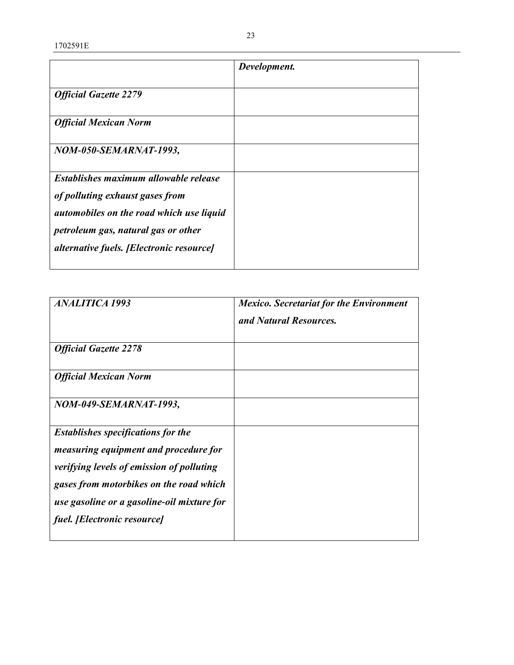1702591E

|                                                 | Development. |
|-------------------------------------------------|--------------|
|                                                 |              |
| <b>Official Gazette 2279</b>                    |              |
| <b>Official Mexican Norm</b>                    |              |
| NOM-050-SEMARNAT-1993,                          |              |
| Establishes maximum allowable release           |              |
| of polluting exhaust gases from                 |              |
| automobiles on the road which use liquid        |              |
| petroleum gas, natural gas or other             |              |
| <i>alternative fuels. [Electronic resource]</i> |              |

| <b>ANALITICA 1993</b>                            | <b>Mexico.</b> Secretariat for the Environment<br>and Natural Resources. |
|--------------------------------------------------|--------------------------------------------------------------------------|
| <b>Official Gazette 2278</b>                     |                                                                          |
| <b>Official Mexican Norm</b>                     |                                                                          |
| NOM-049-SEMARNAT-1993,                           |                                                                          |
| <b>Establishes specifications for the</b>        |                                                                          |
| <i>measuring equipment and procedure for</i>     |                                                                          |
| <i>verifying levels of emission of polluting</i> |                                                                          |
| gases from motorbikes on the road which          |                                                                          |
| use gasoline or a gasoline-oil mixture for       |                                                                          |
| fuel. [Electronic resource]                      |                                                                          |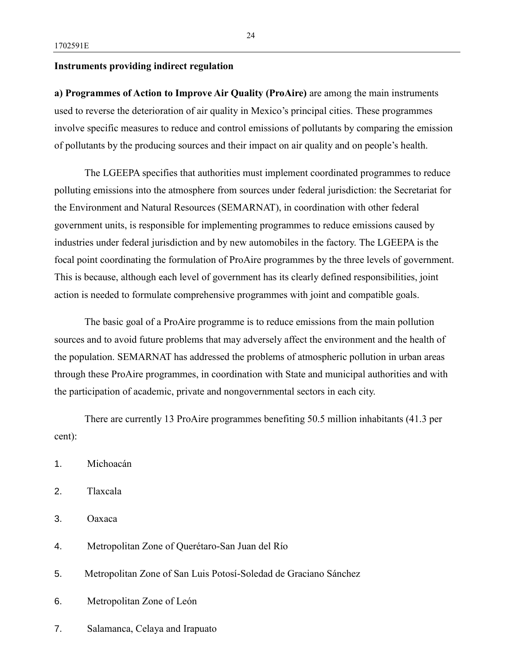### **Instruments providing indirect regulation**

**a) Programmes of Action to Improve Air Quality (ProAire)** are among the main instruments used to reverse the deterioration of air quality in Mexico's principal cities. These programmes involve specific measures to reduce and control emissions of pollutants by comparing the emission of pollutants by the producing sources and their impact on air quality and on people's health.

The LGEEPA specifies that authorities must implement coordinated programmes to reduce polluting emissions into the atmosphere from sources under federal jurisdiction: the Secretariat for the Environment and Natural Resources (SEMARNAT), in coordination with other federal government units, is responsible for implementing programmes to reduce emissions caused by industries under federal jurisdiction and by new automobiles in the factory. The LGEEPA is the focal point coordinating the formulation of ProAire programmes by the three levels of government. This is because, although each level of government has its clearly defined responsibilities, joint action is needed to formulate comprehensive programmes with joint and compatible goals.

The basic goal of a ProAire programme is to reduce emissions from the main pollution sources and to avoid future problems that may adversely affect the environment and the health of the population. SEMARNAT has addressed the problems of atmospheric pollution in urban areas through these ProAire programmes, in coordination with State and municipal authorities and with the participation of academic, private and nongovernmental sectors in each city.

There are currently 13 ProAire programmes benefiting 50.5 million inhabitants (41.3 per cent):

- 1. Michoacán
- 2. Tlaxcala
- 3. Oaxaca
- 4. Metropolitan Zone of Querétaro-San Juan del Río
- 5. Metropolitan Zone of San Luis Potosí-Soledad de Graciano Sánchez
- 6. Metropolitan Zone of León
- 7. Salamanca, Celaya and Irapuato

24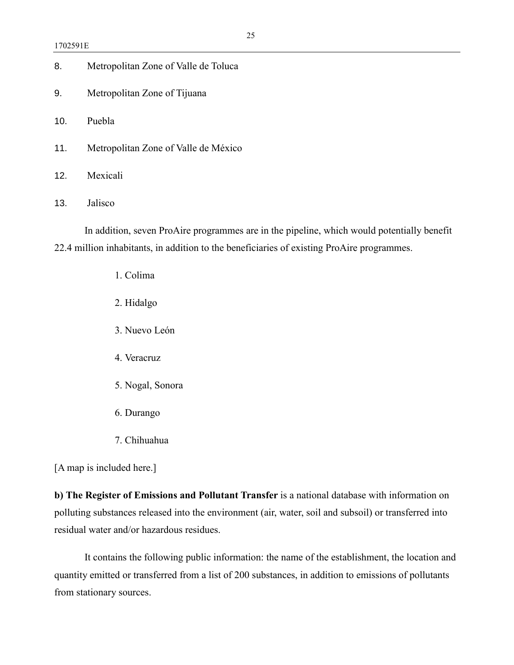| Metropolitan Zone of Valle de Toluca<br>8. |  |  |
|--------------------------------------------|--|--|
|--------------------------------------------|--|--|

- 9. Metropolitan Zone of Tijuana
- 10. Puebla
- 11. Metropolitan Zone of Valle de México
- 12. Mexicali
- 13. Jalisco

In addition, seven ProAire programmes are in the pipeline, which would potentially benefit 22.4 million inhabitants, in addition to the beneficiaries of existing ProAire programmes.

- 1. Colima
- 2. Hidalgo
- 3. Nuevo León
- 4. Veracruz
- 5. Nogal, Sonora
- 6. Durango
- 7. Chihuahua

[A map is included here.]

**b) The Register of Emissions and Pollutant Transfer** is a national database with information on polluting substances released into the environment (air, water, soil and subsoil) or transferred into residual water and/or hazardous residues.

It contains the following public information: the name of the establishment, the location and quantity emitted or transferred from a list of 200 substances, in addition to emissions of pollutants from stationary sources.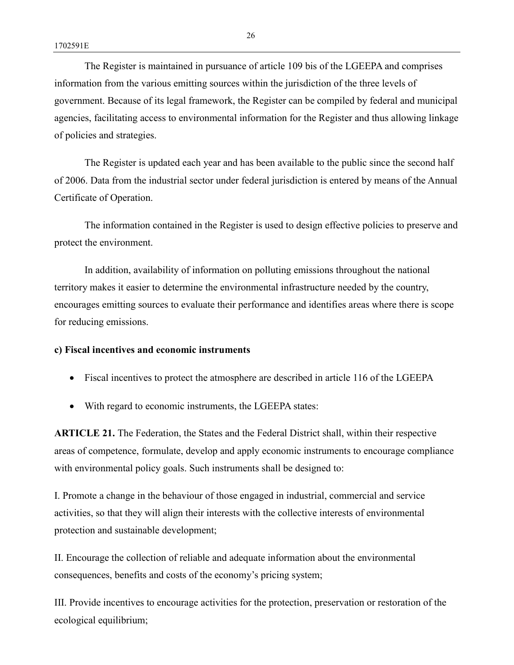The Register is maintained in pursuance of article 109 bis of the LGEEPA and comprises information from the various emitting sources within the jurisdiction of the three levels of government. Because of its legal framework, the Register can be compiled by federal and municipal agencies, facilitating access to environmental information for the Register and thus allowing linkage of policies and strategies.

The Register is updated each year and has been available to the public since the second half of 2006. Data from the industrial sector under federal jurisdiction is entered by means of the Annual Certificate of Operation.

The information contained in the Register is used to design effective policies to preserve and protect the environment.

In addition, availability of information on polluting emissions throughout the national territory makes it easier to determine the environmental infrastructure needed by the country, encourages emitting sources to evaluate their performance and identifies areas where there is scope for reducing emissions.

#### **c) Fiscal incentives and economic instruments**

- Fiscal incentives to protect the atmosphere are described in article 116 of the LGEEPA
- With regard to economic instruments, the LGEEPA states:

**ARTICLE 21.** The Federation, the States and the Federal District shall, within their respective areas of competence, formulate, develop and apply economic instruments to encourage compliance with environmental policy goals. Such instruments shall be designed to:

I. Promote a change in the behaviour of those engaged in industrial, commercial and service activities, so that they will align their interests with the collective interests of environmental protection and sustainable development;

II. Encourage the collection of reliable and adequate information about the environmental consequences, benefits and costs of the economy's pricing system;

III. Provide incentives to encourage activities for the protection, preservation or restoration of the ecological equilibrium;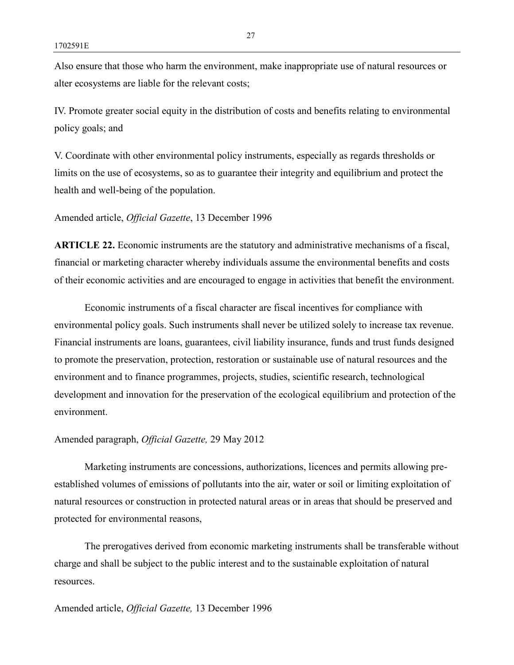Also ensure that those who harm the environment, make inappropriate use of natural resources or alter ecosystems are liable for the relevant costs;

IV. Promote greater social equity in the distribution of costs and benefits relating to environmental policy goals; and

V. Coordinate with other environmental policy instruments, especially as regards thresholds or limits on the use of ecosystems, so as to guarantee their integrity and equilibrium and protect the health and well-being of the population.

Amended article, *Official Gazette*, 13 December 1996

**ARTICLE 22.** Economic instruments are the statutory and administrative mechanisms of a fiscal, financial or marketing character whereby individuals assume the environmental benefits and costs of their economic activities and are encouraged to engage in activities that benefit the environment.

Economic instruments of a fiscal character are fiscal incentives for compliance with environmental policy goals. Such instruments shall never be utilized solely to increase tax revenue. Financial instruments are loans, guarantees, civil liability insurance, funds and trust funds designed to promote the preservation, protection, restoration or sustainable use of natural resources and the environment and to finance programmes, projects, studies, scientific research, technological development and innovation for the preservation of the ecological equilibrium and protection of the environment.

### Amended paragraph, *Official Gazette,* 29 May 2012

Marketing instruments are concessions, authorizations, licences and permits allowing preestablished volumes of emissions of pollutants into the air, water or soil or limiting exploitation of natural resources or construction in protected natural areas or in areas that should be preserved and protected for environmental reasons,

The prerogatives derived from economic marketing instruments shall be transferable without charge and shall be subject to the public interest and to the sustainable exploitation of natural **resources**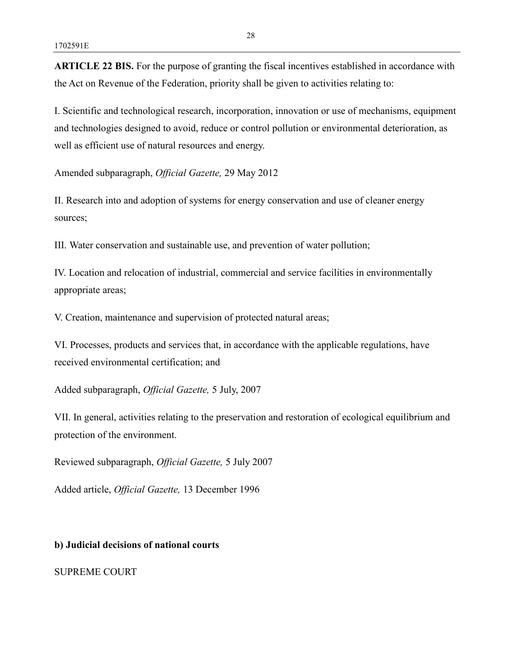**ARTICLE 22 BIS.** For the purpose of granting the fiscal incentives established in accordance with the Act on Revenue of the Federation, priority shall be given to activities relating to:

I. Scientific and technological research, incorporation, innovation or use of mechanisms, equipment and technologies designed to avoid, reduce or control pollution or environmental deterioration, as well as efficient use of natural resources and energy.

Amended subparagraph, *Official Gazette,* 29 May 2012

II. Research into and adoption of systems for energy conservation and use of cleaner energy sources;

III. Water conservation and sustainable use, and prevention of water pollution;

IV. Location and relocation of industrial, commercial and service facilities in environmentally appropriate areas;

V. Creation, maintenance and supervision of protected natural areas;

VI. Processes, products and services that, in accordance with the applicable regulations, have received environmental certification; and

Added subparagraph, *Official Gazette,* 5 July, 2007

VII. In general, activities relating to the preservation and restoration of ecological equilibrium and protection of the environment.

Reviewed subparagraph, *Official Gazette,* 5 July 2007

Added article, *Official Gazette,* 13 December 1996

**b) Judicial decisions of national courts**

SUPREME COURT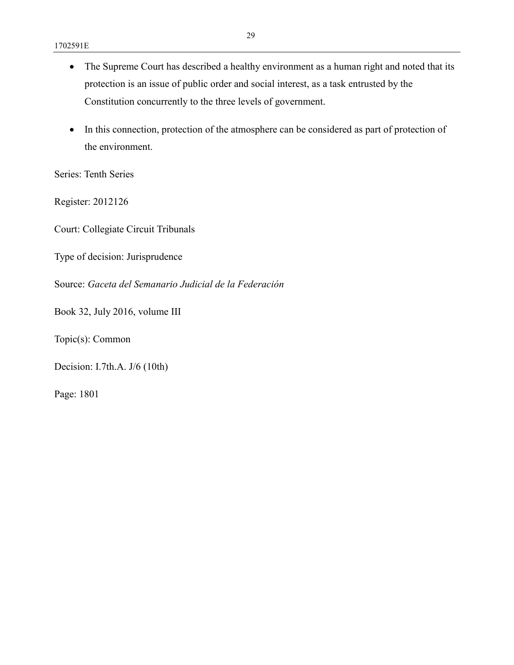- The Supreme Court has described a healthy environment as a human right and noted that its protection is an issue of public order and social interest, as a task entrusted by the Constitution concurrently to the three levels of government.
- In this connection, protection of the atmosphere can be considered as part of protection of the environment.

Series: Tenth Series

Register: 2012126

Court: Collegiate Circuit Tribunals

Type of decision: Jurisprudence

Source: *Gaceta del Semanario Judicial de la Federación*

Book 32, July 2016, volume III

Topic(s): Common

Decision: I.7th.A. J/6 (10th)

Page: 1801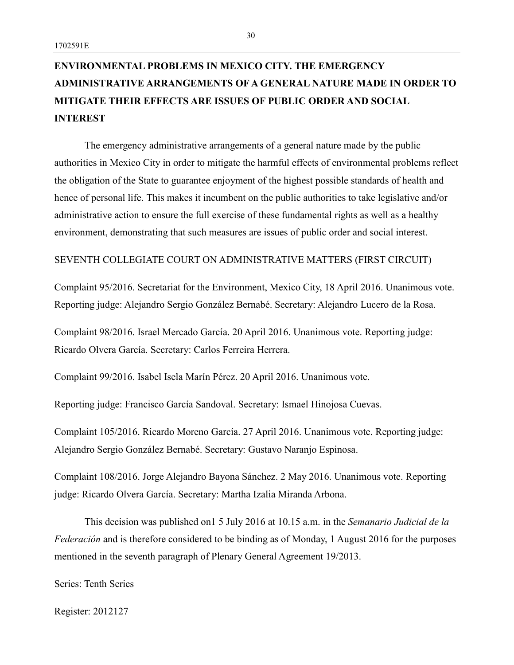# **ENVIRONMENTAL PROBLEMS IN MEXICO CITY. THE EMERGENCY ADMINISTRATIVE ARRANGEMENTS OF A GENERAL NATURE MADE IN ORDER TO MITIGATE THEIR EFFECTS ARE ISSUES OF PUBLIC ORDER AND SOCIAL INTEREST**

The emergency administrative arrangements of a general nature made by the public authorities in Mexico City in order to mitigate the harmful effects of environmental problems reflect the obligation of the State to guarantee enjoyment of the highest possible standards of health and hence of personal life. This makes it incumbent on the public authorities to take legislative and/or administrative action to ensure the full exercise of these fundamental rights as well as a healthy environment, demonstrating that such measures are issues of public order and social interest.

#### SEVENTH COLLEGIATE COURT ON ADMINISTRATIVE MATTERS (FIRST CIRCUIT)

Complaint 95/2016. Secretariat for the Environment, Mexico City, 18 April 2016. Unanimous vote. Reporting judge: Alejandro Sergio González Bernabé. Secretary: Alejandro Lucero de la Rosa.

Complaint 98/2016. Israel Mercado García. 20 April 2016. Unanimous vote. Reporting judge: Ricardo Olvera García. Secretary: Carlos Ferreira Herrera.

Complaint 99/2016. Isabel Isela Marín Pérez. 20 April 2016. Unanimous vote.

Reporting judge: Francisco García Sandoval. Secretary: Ismael Hinojosa Cuevas.

Complaint 105/2016. Ricardo Moreno García. 27 April 2016. Unanimous vote. Reporting judge: Alejandro Sergio González Bernabé. Secretary: Gustavo Naranjo Espinosa.

Complaint 108/2016. Jorge Alejandro Bayona Sánchez. 2 May 2016. Unanimous vote. Reporting judge: Ricardo Olvera García. Secretary: Martha Izalia Miranda Arbona.

This decision was published on1 5 July 2016 at 10.15 a.m. in the *Semanario Judicial de la Federación* and is therefore considered to be binding as of Monday, 1 August 2016 for the purposes mentioned in the seventh paragraph of Plenary General Agreement 19/2013.

Series: Tenth Series

Register: 2012127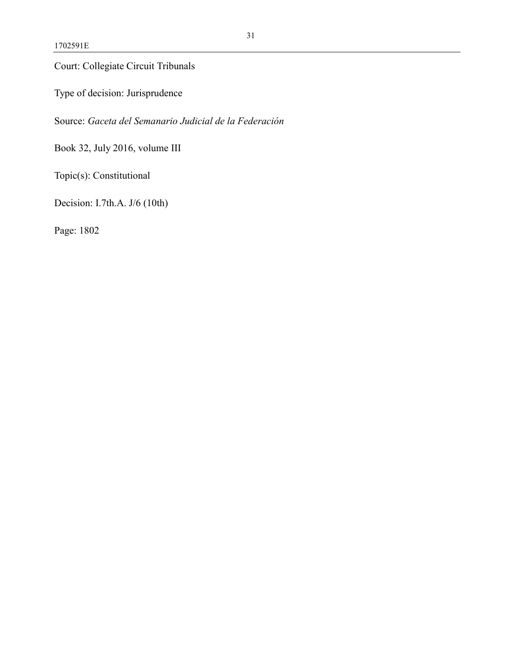Court: Collegiate Circuit Tribunals

Type of decision: Jurisprudence

Source: *Gaceta del Semanario Judicial de la Federación*

Book 32, July 2016, volume III

Topic(s): Constitutional

Decision: I.7th.A. J/6 (10th)

Page: 1802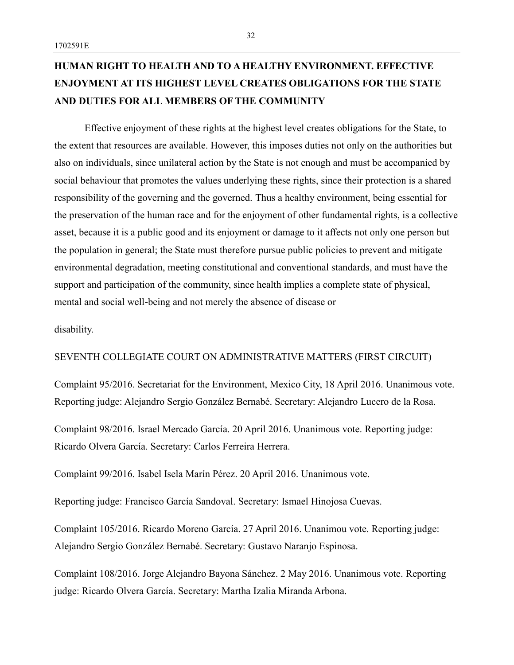# **HUMAN RIGHT TO HEALTH AND TO A HEALTHY ENVIRONMENT. EFFECTIVE ENJOYMENT AT ITS HIGHEST LEVEL CREATES OBLIGATIONS FOR THE STATE AND DUTIES FOR ALL MEMBERS OF THE COMMUNITY**

Effective enjoyment of these rights at the highest level creates obligations for the State, to the extent that resources are available. However, this imposes duties not only on the authorities but also on individuals, since unilateral action by the State is not enough and must be accompanied by social behaviour that promotes the values underlying these rights, since their protection is a shared responsibility of the governing and the governed. Thus a healthy environment, being essential for the preservation of the human race and for the enjoyment of other fundamental rights, is a collective asset, because it is a public good and its enjoyment or damage to it affects not only one person but the population in general; the State must therefore pursue public policies to prevent and mitigate environmental degradation, meeting constitutional and conventional standards, and must have the support and participation of the community, since health implies a complete state of physical, mental and social well-being and not merely the absence of disease or

disability.

### SEVENTH COLLEGIATE COURT ON ADMINISTRATIVE MATTERS (FIRST CIRCUIT)

Complaint 95/2016. Secretariat for the Environment, Mexico City, 18 April 2016. Unanimous vote. Reporting judge: Alejandro Sergio González Bernabé. Secretary: Alejandro Lucero de la Rosa.

Complaint 98/2016. Israel Mercado García. 20 April 2016. Unanimous vote. Reporting judge: Ricardo Olvera García. Secretary: Carlos Ferreira Herrera.

Complaint 99/2016. Isabel Isela Marín Pérez. 20 April 2016. Unanimous vote.

Reporting judge: Francisco García Sandoval. Secretary: Ismael Hinojosa Cuevas.

Complaint 105/2016. Ricardo Moreno García. 27 April 2016. Unanimou vote. Reporting judge: Alejandro Sergio González Bernabé. Secretary: Gustavo Naranjo Espinosa.

Complaint 108/2016. Jorge Alejandro Bayona Sánchez. 2 May 2016. Unanimous vote. Reporting judge: Ricardo Olvera García. Secretary: Martha Izalia Miranda Arbona.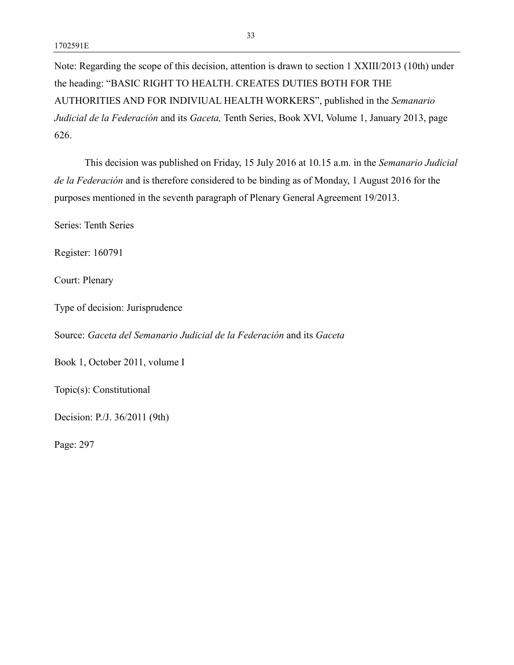Note: Regarding the scope of this decision, attention is drawn to section 1 XXIII/2013 (10th) under the heading: "BASIC RIGHT TO HEALTH. CREATES DUTIES BOTH FOR THE AUTHORITIES AND FOR INDIVIUAL HEALTH WORKERS", published in the *Semanario Judicial de la Federación* and its *Gaceta,* Tenth Series, Book XVI, Volume 1, January 2013, page 626.

This decision was published on Friday, 15 July 2016 at 10.15 a.m. in the *Semanario Judicial de la Federación* and is therefore considered to be binding as of Monday, 1 August 2016 for the purposes mentioned in the seventh paragraph of Plenary General Agreement 19/2013.

Series: Tenth Series

Register: 160791

Court: Plenary

Type of decision: Jurisprudence

Source: *Gaceta del Semanario Judicial de la Federación* and its *Gaceta*

Book 1, October 2011, volume I

Topic(s): Constitutional

Decision: P./J. 36/2011 (9th)

Page: 297